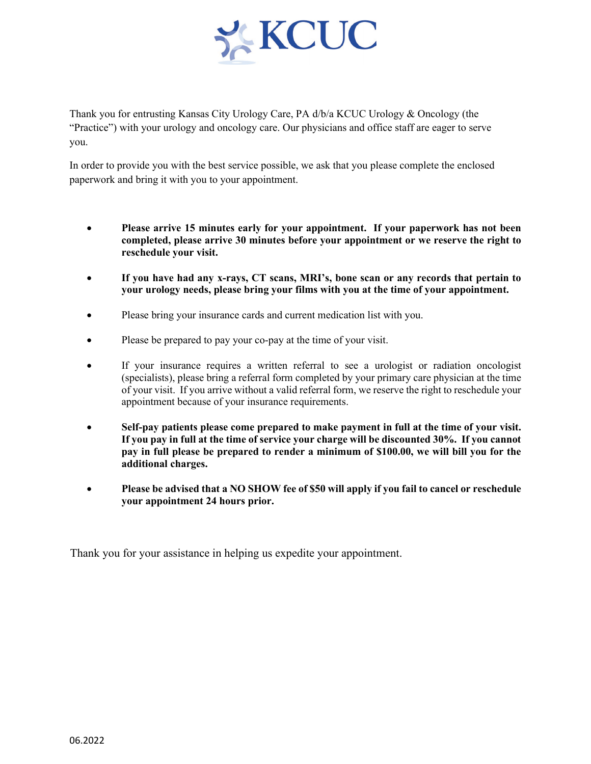

Thank you for entrusting Kansas City Urology Care, PA d/b/a KCUC Urology & Oncology (the "Practice") with your urology and oncology care. Our physicians and office staff are eager to serve you.

In order to provide you with the best service possible, we ask that you please complete the enclosed paperwork and bring it with you to your appointment.

- **Please arrive 15 minutes early for your appointment. If your paperwork has not been completed, please arrive 30 minutes before your appointment or we reserve the right to reschedule your visit.**
- **If you have had any x-rays, CT scans, MRI's, bone scan or any records that pertain to your urology needs, please bring your films with you at the time of your appointment.**
- Please bring your insurance cards and current medication list with you.
- Please be prepared to pay your co-pay at the time of your visit.
- If your insurance requires a written referral to see a urologist or radiation oncologist (specialists), please bring a referral form completed by your primary care physician at the time of your visit. If you arrive without a valid referral form, we reserve the right to reschedule your appointment because of your insurance requirements.
- **Self-pay patients please come prepared to make payment in full at the time of your visit. If you pay in full at the time of service your charge will be discounted 30%. If you cannot pay in full please be prepared to render a minimum of \$100.00, we will bill you for the additional charges.**
- **Please be advised that a NO SHOW fee of \$50 will apply if you fail to cancel or reschedule your appointment 24 hours prior.**

Thank you for your assistance in helping us expedite your appointment.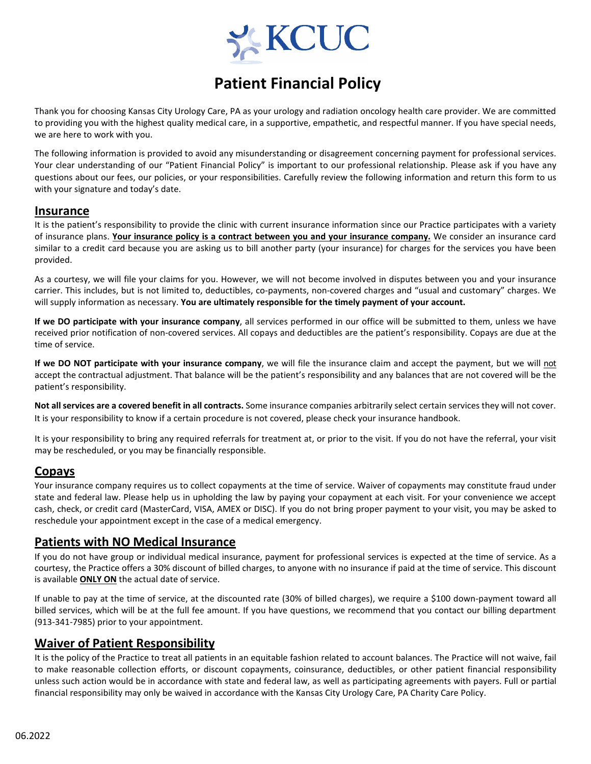

# **Patient Financial Policy**

Thank you for choosing Kansas City Urology Care, PA as your urology and radiation oncology health care provider. We are committed to providing you with the highest quality medical care, in a supportive, empathetic, and respectful manner. If you have special needs, we are here to work with you.

The following information is provided to avoid any misunderstanding or disagreement concerning payment for professional services. Your clear understanding of our "Patient Financial Policy" is important to our professional relationship. Please ask if you have any questions about our fees, our policies, or your responsibilities. Carefully review the following information and return this form to us with your signature and today's date.

### **Insurance**

It is the patient's responsibility to provide the clinic with current insurance information since our Practice participates with a variety of insurance plans. **Your insurance policy is a contract between you and your insurance company.** We consider an insurance card similar to a credit card because you are asking us to bill another party (your insurance) for charges for the services you have been provided.

As a courtesy, we will file your claims for you. However, we will not become involved in disputes between you and your insurance carrier. This includes, but is not limited to, deductibles, co-payments, non-covered charges and "usual and customary" charges. We will supply information as necessary. **You are ultimately responsible for the timely payment of your account.**

**If we DO participate with your insurance company**, all services performed in our office will be submitted to them, unless we have received prior notification of non‐covered services. All copays and deductibles are the patient's responsibility. Copays are due at the time of service.

**If we DO NOT participate with your insurance company**, we will file the insurance claim and accept the payment, but we will not accept the contractual adjustment. That balance will be the patient's responsibility and any balances that are not covered will be the patient's responsibility.

**Not all services are a covered benefit in all contracts.** Some insurance companies arbitrarily select certain services they will not cover. It is your responsibility to know if a certain procedure is not covered, please check your insurance handbook.

It is your responsibility to bring any required referrals for treatment at, or prior to the visit. If you do not have the referral, your visit may be rescheduled, or you may be financially responsible.

# **Copays**

Your insurance company requires us to collect copayments at the time of service. Waiver of copayments may constitute fraud under state and federal law. Please help us in upholding the law by paying your copayment at each visit. For your convenience we accept cash, check, or credit card (MasterCard, VISA, AMEX or DISC). If you do not bring proper payment to your visit, you may be asked to reschedule your appointment except in the case of a medical emergency.

# **Patients with NO Medical Insurance**

If you do not have group or individual medical insurance, payment for professional services is expected at the time of service. As a courtesy, the Practice offers a 30% discount of billed charges, to anyone with no insurance if paid at the time of service. This discount is available **ONLY ON** the actual date of service.

If unable to pay at the time of service, at the discounted rate (30% of billed charges), we require a \$100 down‐payment toward all billed services, which will be at the full fee amount. If you have questions, we recommend that you contact our billing department (913‐341‐7985) prior to your appointment.

# **Waiver of Patient Responsibility**

It is the policy of the Practice to treat all patients in an equitable fashion related to account balances. The Practice will not waive, fail to make reasonable collection efforts, or discount copayments, coinsurance, deductibles, or other patient financial responsibility unless such action would be in accordance with state and federal law, as well as participating agreements with payers. Full or partial financial responsibility may only be waived in accordance with the Kansas City Urology Care, PA Charity Care Policy.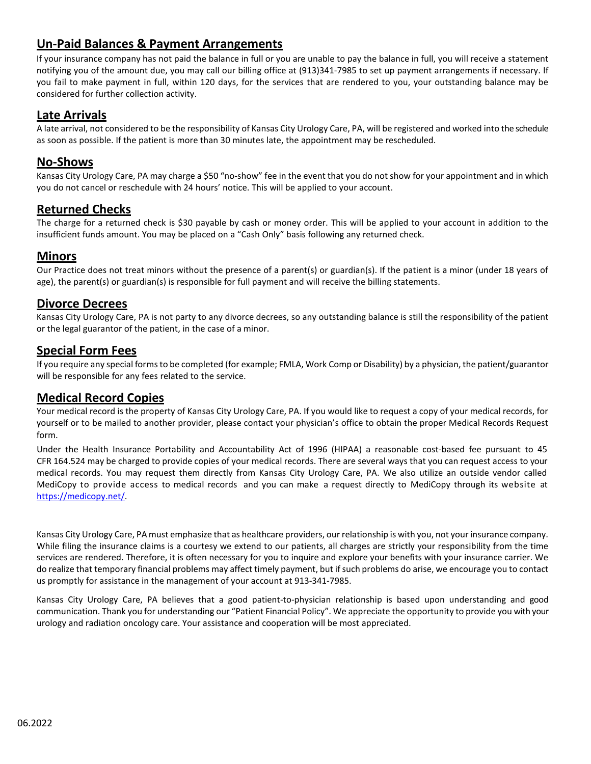# **Un‐Paid Balances & Payment Arrangements**

If your insurance company has not paid the balance in full or you are unable to pay the balance in full, you will receive a statement notifying you of the amount due, you may call our billing office at (913)341‐7985 to set up payment arrangements if necessary. If you fail to make payment in full, within 120 days, for the services that are rendered to you, your outstanding balance may be considered for further collection activity.

# **Late Arrivals**

A late arrival, not considered to be the responsibility of Kansas City Urology Care, PA, will be registered and worked into the schedule as soon as possible. If the patient is more than 30 minutes late, the appointment may be rescheduled.

### **No‐Shows**

Kansas City Urology Care, PA may charge a \$50 "no‐show" fee in the event that you do not show for your appointment and in which you do not cancel or reschedule with 24 hours' notice. This will be applied to your account.

# **Returned Checks**

The charge for a returned check is \$30 payable by cash or money order. This will be applied to your account in addition to the insufficient funds amount. You may be placed on a "Cash Only" basis following any returned check.

# **Minors**

Our Practice does not treat minors without the presence of a parent(s) or guardian(s). If the patient is a minor (under 18 years of age), the parent(s) or guardian(s) is responsible for full payment and will receive the billing statements.

# **Divorce Decrees**

Kansas City Urology Care, PA is not party to any divorce decrees, so any outstanding balance is still the responsibility of the patient or the legal guarantor of the patient, in the case of a minor.

# **Special Form Fees**

If you require any special forms to be completed (for example; FMLA, Work Comp or Disability) by a physician, the patient/guarantor will be responsible for any fees related to the service.

# **Medical Record Copies**

Your medical record is the property of Kansas City Urology Care, PA. If you would like to request a copy of your medical records, for yourself or to be mailed to another provider, please contact your physician's office to obtain the proper Medical Records Request form.

Under the Health Insurance Portability and Accountability Act of 1996 (HIPAA) a reasonable cost‐based fee pursuant to 45 CFR 164.524 may be charged to provide copies of your medical records. There are several ways that you can request access to your medical records. You may request them directly from Kansas City Urology Care, PA. We also utilize an outside vendor called MediCopy to provide access to medical records and you can make a request directly to MediCopy through its website at https://medicopy.net/.

Kansas City Urology Care, PA must emphasize that as healthcare providers, our relationship is with you, not your insurance company. While filing the insurance claims is a courtesy we extend to our patients, all charges are strictly your responsibility from the time services are rendered. Therefore, it is often necessary for you to inquire and explore your benefits with your insurance carrier. We do realize that temporary financial problems may affect timely payment, but if such problems do arise, we encourage you to contact us promptly for assistance in the management of your account at 913‐341‐7985.

Kansas City Urology Care, PA believes that a good patient-to-physician relationship is based upon understanding and good communication. Thank you for understanding our "Patient Financial Policy". We appreciate the opportunity to provide you with your urology and radiation oncology care. Your assistance and cooperation will be most appreciated.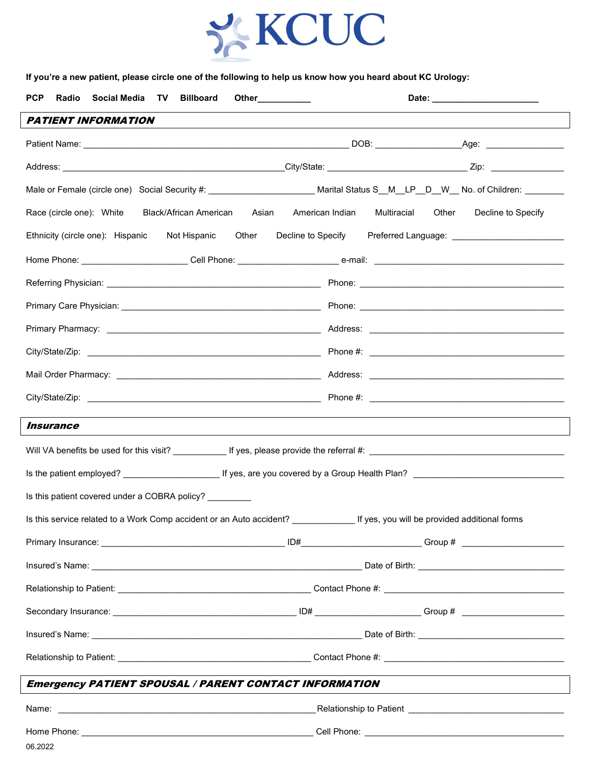

**If you're a new patient, please circle one of the following to help us know how you heard about KC Urology:**

| <b>PCP</b><br>Social Media TV Billboard<br>Radio<br>Other___________                                                               | Date: _______________________                                                    |  |  |
|------------------------------------------------------------------------------------------------------------------------------------|----------------------------------------------------------------------------------|--|--|
| <b>PATIENT INFORMATION</b>                                                                                                         |                                                                                  |  |  |
|                                                                                                                                    |                                                                                  |  |  |
|                                                                                                                                    |                                                                                  |  |  |
| Male or Female (circle one) Social Security #: _________________________ Marital Status S__M__LP__D__W__ No. of Children: ________ |                                                                                  |  |  |
| Race (circle one): White Black/African American Asian                                                                              | American Indian Multiracial Other<br>Decline to Specify                          |  |  |
| Ethnicity (circle one): Hispanic<br>Not Hispanic                                                                                   | Other Decline to Specify Preferred Language: ___________________________________ |  |  |
|                                                                                                                                    |                                                                                  |  |  |
|                                                                                                                                    |                                                                                  |  |  |
|                                                                                                                                    |                                                                                  |  |  |
|                                                                                                                                    |                                                                                  |  |  |
|                                                                                                                                    |                                                                                  |  |  |
|                                                                                                                                    |                                                                                  |  |  |
|                                                                                                                                    |                                                                                  |  |  |
| <i><b>Insurance</b></i>                                                                                                            |                                                                                  |  |  |
|                                                                                                                                    |                                                                                  |  |  |
|                                                                                                                                    |                                                                                  |  |  |
| Is this patient covered under a COBRA policy?                                                                                      |                                                                                  |  |  |
| Is this service related to a Work Comp accident or an Auto accident?                                                               | If yes, you will be provided additional forms                                    |  |  |
|                                                                                                                                    |                                                                                  |  |  |
|                                                                                                                                    |                                                                                  |  |  |
|                                                                                                                                    |                                                                                  |  |  |
|                                                                                                                                    |                                                                                  |  |  |
|                                                                                                                                    |                                                                                  |  |  |
|                                                                                                                                    |                                                                                  |  |  |
| <b>Emergency PATIENT SPOUSAL / PARENT CONTACT INFORMATION</b>                                                                      |                                                                                  |  |  |
| Name:<br><u> 1989 - Johann Barbara, martxa alemaniar argumento de la contrada de la contrada de la contrada de la contrada</u>     |                                                                                  |  |  |
| 06.2022                                                                                                                            |                                                                                  |  |  |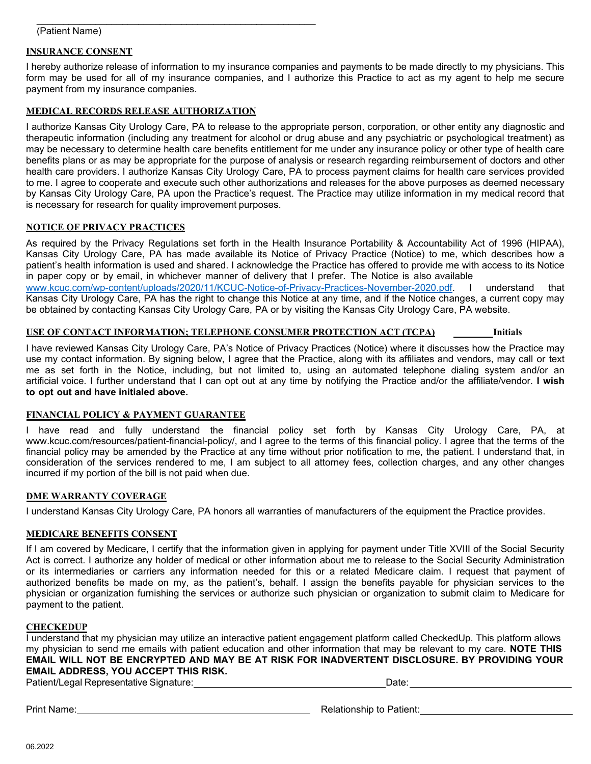#### \_\_\_\_\_\_\_\_\_\_\_\_\_\_\_\_\_\_\_\_\_\_\_\_\_\_\_\_\_\_\_\_\_\_\_\_\_\_\_\_\_\_\_\_\_\_\_\_\_\_\_\_ (Patient Name)

### **INSURANCE CONSENT**

I hereby authorize release of information to my insurance companies and payments to be made directly to my physicians. This form may be used for all of my insurance companies, and I authorize this Practice to act as my agent to help me secure payment from my insurance companies.

### **MEDICAL RECORDS RELEASE AUTHORIZATION**

I authorize Kansas City Urology Care, PA to release to the appropriate person, corporation, or other entity any diagnostic and therapeutic information (including any treatment for alcohol or drug abuse and any psychiatric or psychological treatment) as may be necessary to determine health care benefits entitlement for me under any insurance policy or other type of health care benefits plans or as may be appropriate for the purpose of analysis or research regarding reimbursement of doctors and other health care providers. I authorize Kansas City Urology Care, PA to process payment claims for health care services provided to me. I agree to cooperate and execute such other authorizations and releases for the above purposes as deemed necessary by Kansas City Urology Care, PA upon the Practice's request. The Practice may utilize information in my medical record that is necessary for research for quality improvement purposes.

### **NOTICE OF PRIVACY PRACTICES**

As required by the Privacy Regulations set forth in the Health Insurance Portability & Accountability Act of 1996 (HIPAA), Kansas City Urology Care, PA has made available its Notice of Privacy Practice (Notice) to me, which describes how a patient's health information is used and shared. I acknowledge the Practice has offered to provide me with access to its Notice in paper copy or by email, in whichever manner of delivery that I prefer. The Notice is also available [www.kcuc.com/wp-content/uploads/2020/11/KCUC-Notice-of-Privacy-Practices-November-2020.pdf.](http://www.kcuc.com/wp-content/uploads/2020/11/KCUC-Notice-of-Privacy-Practices-November-2020.pdf) I understand that Kansas City Urology Care, PA has the right to change this Notice at any time, and if the Notice changes, a current copy may be obtained by contacting Kansas City Urology Care, PA or by visiting the Kansas City Urology Care, PA website.

### **USE OF CONTACT INFORMATION; TELEPHONE CONSUMER PROTECTION ACT (TCPA) Initials**

I have reviewed Kansas City Urology Care, PA's Notice of Privacy Practices (Notice) where it discusses how the Practice may use my contact information. By signing below, I agree that the Practice, along with its affiliates and vendors, may call or text me as set forth in the Notice, including, but not limited to, using an automated telephone dialing system and/or an artificial voice. I further understand that I can opt out at any time by notifying the Practice and/or the affiliate/vendor. **I wish to opt out and have initialed above.**

### **FINANCIAL POLICY & PAYMENT GUARANTEE**

I have read and fully understand the financial policy set forth by Kansas City Urology Care, PA, at www.kcuc.com/resources/patient-financial-policy/, and I agree to the terms of this financial policy. I agree that the terms of the financial policy may be amended by the Practice at any time without prior notification to me, the patient. I understand that, in consideration of the services rendered to me, I am subject to all attorney fees, collection charges, and any other changes incurred if my portion of the bill is not paid when due.

### **DME WARRANTY COVERAGE**

I understand Kansas City Urology Care, PA honors all warranties of manufacturers of the equipment the Practice provides.

### **MEDICARE BENEFITS CONSENT**

If I am covered by Medicare, I certify that the information given in applying for payment under Title XVIII of the Social Security Act is correct. I authorize any holder of medical or other information about me to release to the Social Security Administration or its intermediaries or carriers any information needed for this or a related Medicare claim. I request that payment of authorized benefits be made on my, as the patient's, behalf. I assign the benefits payable for physician services to the physician or organization furnishing the services or authorize such physician or organization to submit claim to Medicare for payment to the patient.

### **CHECKEDUP**

I understand that my physician may utilize an interactive patient engagement platform called CheckedUp. This platform allows my physician to send me emails with patient education and other information that may be relevant to my care. **NOTE THIS EMAIL WILL NOT BE ENCRYPTED AND MAY BE AT RISK FOR INADVERTENT DISCLOSURE. BY PROVIDING YOUR EMAIL ADDRESS, YOU ACCEPT THIS RISK.** 

Patient/Legal Representative Signature: Date: Date: Date: Date: Date: Date: Date: Date: Date: Date: Date: Date: Date: Date: Date: Date: Date: Date: Date: Date: Date: Date: Date: Date: Date: Date: Date: Date: Date: Date: Da

Print Name: Note and the extreme of the extreme of the extreme of Relationship to Patient: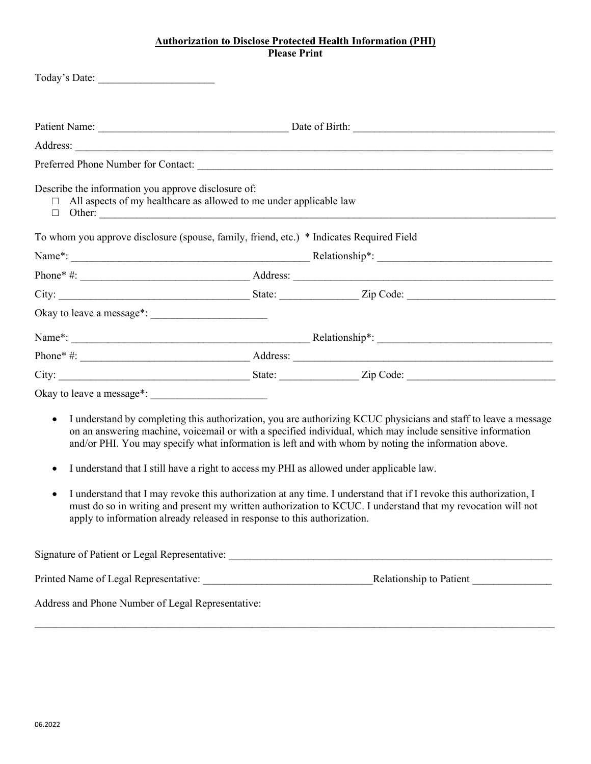### **Authorization to Disclose Protected Health Information (PHI) Please Print**

|                        | Today's Date:                                                                                                                                                                                                                                                                                                                                                                                                                                                                                                                                                                                                                                                                                                                                      |  |  |  |  |
|------------------------|----------------------------------------------------------------------------------------------------------------------------------------------------------------------------------------------------------------------------------------------------------------------------------------------------------------------------------------------------------------------------------------------------------------------------------------------------------------------------------------------------------------------------------------------------------------------------------------------------------------------------------------------------------------------------------------------------------------------------------------------------|--|--|--|--|
|                        |                                                                                                                                                                                                                                                                                                                                                                                                                                                                                                                                                                                                                                                                                                                                                    |  |  |  |  |
|                        |                                                                                                                                                                                                                                                                                                                                                                                                                                                                                                                                                                                                                                                                                                                                                    |  |  |  |  |
|                        |                                                                                                                                                                                                                                                                                                                                                                                                                                                                                                                                                                                                                                                                                                                                                    |  |  |  |  |
|                        |                                                                                                                                                                                                                                                                                                                                                                                                                                                                                                                                                                                                                                                                                                                                                    |  |  |  |  |
| $\Box$                 | Describe the information you approve disclosure of:<br>All aspects of my healthcare as allowed to me under applicable law                                                                                                                                                                                                                                                                                                                                                                                                                                                                                                                                                                                                                          |  |  |  |  |
|                        | To whom you approve disclosure (spouse, family, friend, etc.) * Indicates Required Field                                                                                                                                                                                                                                                                                                                                                                                                                                                                                                                                                                                                                                                           |  |  |  |  |
|                        |                                                                                                                                                                                                                                                                                                                                                                                                                                                                                                                                                                                                                                                                                                                                                    |  |  |  |  |
|                        |                                                                                                                                                                                                                                                                                                                                                                                                                                                                                                                                                                                                                                                                                                                                                    |  |  |  |  |
|                        |                                                                                                                                                                                                                                                                                                                                                                                                                                                                                                                                                                                                                                                                                                                                                    |  |  |  |  |
|                        |                                                                                                                                                                                                                                                                                                                                                                                                                                                                                                                                                                                                                                                                                                                                                    |  |  |  |  |
|                        |                                                                                                                                                                                                                                                                                                                                                                                                                                                                                                                                                                                                                                                                                                                                                    |  |  |  |  |
|                        |                                                                                                                                                                                                                                                                                                                                                                                                                                                                                                                                                                                                                                                                                                                                                    |  |  |  |  |
|                        |                                                                                                                                                                                                                                                                                                                                                                                                                                                                                                                                                                                                                                                                                                                                                    |  |  |  |  |
|                        |                                                                                                                                                                                                                                                                                                                                                                                                                                                                                                                                                                                                                                                                                                                                                    |  |  |  |  |
| $\bullet$<br>$\bullet$ | I understand by completing this authorization, you are authorizing KCUC physicians and staff to leave a message<br>on an answering machine, voicemail or with a specified individual, which may include sensitive information<br>and/or PHI. You may specify what information is left and with whom by noting the information above.<br>I understand that I still have a right to access my PHI as allowed under applicable law.<br>I understand that I may revoke this authorization at any time. I understand that if I revoke this authorization, I<br>must do so in writing and present my written authorization to KCUC. I understand that my revocation will not<br>apply to information already released in response to this authorization. |  |  |  |  |
|                        | Signature of Patient or Legal Representative: ___________________________________                                                                                                                                                                                                                                                                                                                                                                                                                                                                                                                                                                                                                                                                  |  |  |  |  |
|                        |                                                                                                                                                                                                                                                                                                                                                                                                                                                                                                                                                                                                                                                                                                                                                    |  |  |  |  |
|                        | Address and Phone Number of Legal Representative:                                                                                                                                                                                                                                                                                                                                                                                                                                                                                                                                                                                                                                                                                                  |  |  |  |  |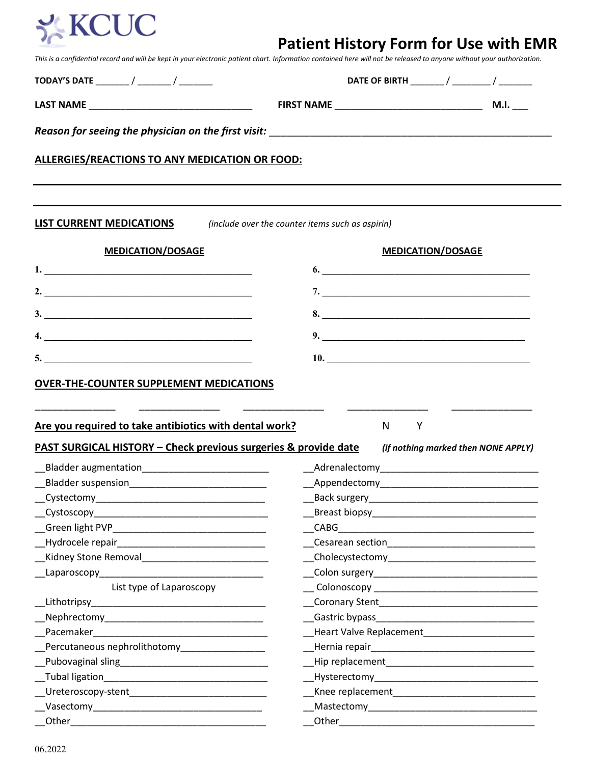

# **Patient History Form for Use with EMR**

*This is a confidential record and will be kept in your electronic patient chart. Information contained here will not be released to anyone without your authorization.*

| <b>ALLERGIES/REACTIONS TO ANY MEDICATION OR FOOD:</b>                                                                                         |                                                    |
|-----------------------------------------------------------------------------------------------------------------------------------------------|----------------------------------------------------|
|                                                                                                                                               |                                                    |
| <b>LIST CURRENT MEDICATIONS</b>                                                                                                               | (include over the counter items such as aspirin)   |
| <b>MEDICATION/DOSAGE</b>                                                                                                                      | <b>MEDICATION/DOSAGE</b>                           |
|                                                                                                                                               | 6.                                                 |
| 2. $\overline{\phantom{a}}$                                                                                                                   |                                                    |
|                                                                                                                                               |                                                    |
| 3.                                                                                                                                            | 8.                                                 |
| 4.                                                                                                                                            |                                                    |
|                                                                                                                                               | 10.                                                |
| Are you required to take antibiotics with dental work?<br>PAST SURGICAL HISTORY - Check previous surgeries & provide date                     | N<br>Y<br>(if nothing marked then NONE APPLY)      |
| Bladder augmentation____________________________                                                                                              |                                                    |
|                                                                                                                                               |                                                    |
|                                                                                                                                               |                                                    |
|                                                                                                                                               |                                                    |
|                                                                                                                                               |                                                    |
|                                                                                                                                               |                                                    |
|                                                                                                                                               |                                                    |
|                                                                                                                                               | Cholecystectomy___________________________________ |
|                                                                                                                                               |                                                    |
| List type of Laparoscopy                                                                                                                      |                                                    |
|                                                                                                                                               |                                                    |
|                                                                                                                                               |                                                    |
|                                                                                                                                               |                                                    |
| Percutaneous nephrolithotomy<br>and the component contracts are perfected as a percent of the contract of the contract of the contract of the |                                                    |
| Kidney Stone Removal <b>Constant Constant Constant Constant Constant Constant Constant</b>                                                    |                                                    |
|                                                                                                                                               |                                                    |
| __Ureteroscopy-stent_________________________________                                                                                         |                                                    |